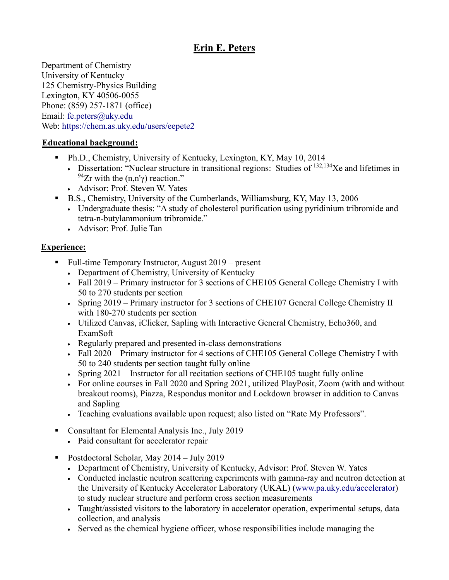# **Erin E. Peters**

Department of Chemistry University of Kentucky 125 Chemistry-Physics Building Lexington, KY 40506-0055 Phone: (859) 257-1871 (office) Email: [fe.peters@uky.edu](mailto:fe.peters@uky.edu) Web:<https://chem.as.uky.edu/users/eepete2>

## **Educational background:**

- Ph.D., Chemistry, University of Kentucky, Lexington, KY, May 10, 2014
	- Dissertation: "Nuclear structure in transitional regions: Studies of  $^{132,134}$ Xe and lifetimes in <sup>94</sup>Zr with the  $(n,n'$ <sup>γ</sup>) reaction."
	- Advisor: Prof. Steven W. Yates
- B.S., Chemistry, University of the Cumberlands, Williamsburg, KY, May 13, 2006
	- Undergraduate thesis: "A study of cholesterol purification using pyridinium tribromide and tetra-n-butylammonium tribromide."
	- Advisor: Prof. Julie Tan

# **Experience:**

- Full-time Temporary Instructor, August  $2019$  present
	- Department of Chemistry, University of Kentucky
	- Fall 2019 Primary instructor for 3 sections of CHE105 General College Chemistry I with 50 to 270 students per section
	- Spring 2019 Primary instructor for 3 sections of CHE107 General College Chemistry II with 180-270 students per section
	- Utilized Canvas, iClicker, Sapling with Interactive General Chemistry, Echo360, and ExamSoft
	- Regularly prepared and presented in-class demonstrations
	- Fall 2020 Primary instructor for 4 sections of CHE105 General College Chemistry I with 50 to 240 students per section taught fully online
	- Spring 2021 Instructor for all recitation sections of CHE105 taught fully online
	- For online courses in Fall 2020 and Spring 2021, utilized PlayPosit, Zoom (with and without breakout rooms), Piazza, Respondus monitor and Lockdown browser in addition to Canvas and Sapling
	- Teaching evaluations available upon request; also listed on "Rate My Professors".
- **Consultant for Elemental Analysis Inc., July 2019** 
	- Paid consultant for accelerator repair
- Postdoctoral Scholar, May 2014 July 2019
	- Department of Chemistry, University of Kentucky, Advisor: Prof. Steven W. Yates
	- Conducted inelastic neutron scattering experiments with gamma-ray and neutron detection at the University of Kentucky Accelerator Laboratory (UKAL) [\(www.pa.uky.edu/accelerator\)](http://www.pa.uky.edu/accelerator) to study nuclear structure and perform cross section measurements
	- Taught/assisted visitors to the laboratory in accelerator operation, experimental setups, data collection, and analysis
	- Served as the chemical hygiene officer, whose responsibilities include managing the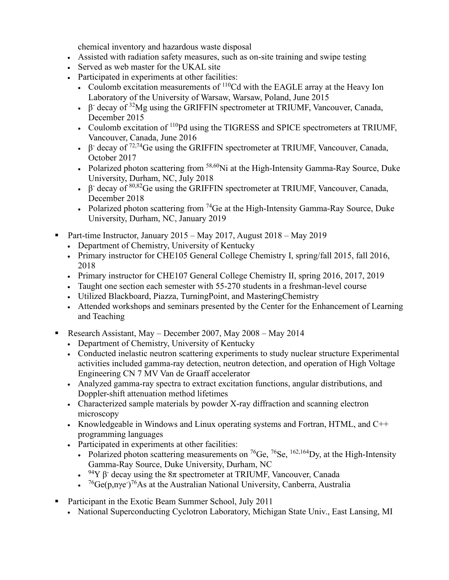chemical inventory and hazardous waste disposal

- Assisted with radiation safety measures, such as on-site training and swipe testing
- Served as web master for the UKAL site
- Participated in experiments at other facilities:
	- Coulomb excitation measurements of  $\rm ^{110}Cd$  with the EAGLE array at the Heavy Ion Laboratory of the University of Warsaw, Warsaw, Poland, June 2015
	- $\beta$ <sup>-</sup> decay of <sup>32</sup>Mg using the GRIFFIN spectrometer at TRIUMF, Vancouver, Canada, December 2015
	- Coulomb excitation of  $^{110}Pd$  using the TIGRESS and SPICE spectrometers at TRIUMF, Vancouver, Canada, June 2016
	- β decay of  $72,74$  Ge using the GRIFFIN spectrometer at TRIUMF, Vancouver, Canada, October 2017
	- Polarized photon scattering from  $58,60$ Ni at the High-Intensity Gamma-Ray Source, Duke University, Durham, NC, July 2018
	- β<sup>-</sup> decay of  $80,82$  Ge using the GRIFFIN spectrometer at TRIUMF, Vancouver, Canada, December 2018
	- Polarized photon scattering from  $74$ Ge at the High-Intensity Gamma-Ray Source, Duke University, Durham, NC, January 2019
- Part-time Instructor, January  $2015 May 2017$ , August  $2018 May 2019$ 
	- Department of Chemistry, University of Kentucky
	- Primary instructor for CHE105 General College Chemistry I, spring/fall 2015, fall 2016, 2018
	- Primary instructor for CHE107 General College Chemistry II, spring 2016, 2017, 2019
	- Taught one section each semester with 55-270 students in a freshman-level course
	- Utilized Blackboard, Piazza, TurningPoint, and MasteringChemistry
	- Attended workshops and seminars presented by the Center for the Enhancement of Learning and Teaching
- Research Assistant, May December 2007, May  $2008 -$  May  $2014$ 
	- Department of Chemistry, University of Kentucky
	- Conducted inelastic neutron scattering experiments to study nuclear structure Experimental activities included gamma-ray detection, neutron detection, and operation of High Voltage Engineering CN 7 MV Van de Graaff accelerator
	- Analyzed gamma-ray spectra to extract excitation functions, angular distributions, and Doppler-shift attenuation method lifetimes
	- Characterized sample materials by powder X-ray diffraction and scanning electron microscopy
	- Knowledgeable in Windows and Linux operating systems and Fortran, HTML, and C++ programming languages
	- Participated in experiments at other facilities:
		- Polarized photon scattering measurements on  ${}^{76}$ Ge,  ${}^{76}$ Se,  ${}^{162,164}$ Dy, at the High-Intensity Gamma-Ray Source, Duke University, Durham, NC
		- $\cdot$  <sup>94</sup>Υ β<sup>-</sup> decay using the  $8\pi$  spectrometer at TRIUMF, Vancouver, Canada
		- <sup>76</sup>Ge(p,nye<sup>-</sup>)<sup>76</sup>As at the Australian National University, Canberra, Australia
- **Participant in the Exotic Beam Summer School, July 2011** 
	- National Superconducting Cyclotron Laboratory, Michigan State Univ., East Lansing, MI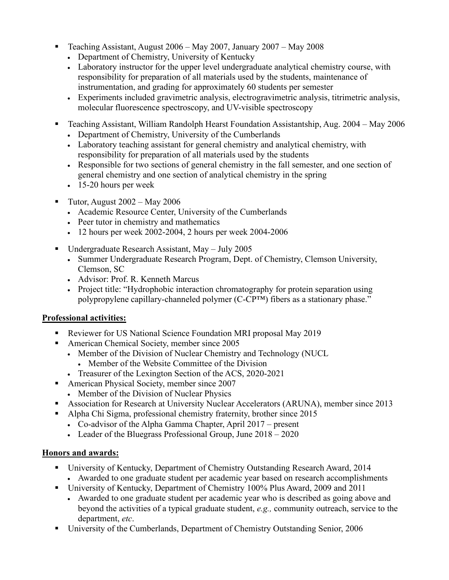- **Teaching Assistant, August 2006 May 2007, January 2007 May 2008** 
	- Department of Chemistry, University of Kentucky
	- Laboratory instructor for the upper level undergraduate analytical chemistry course, with responsibility for preparation of all materials used by the students, maintenance of instrumentation, and grading for approximately 60 students per semester
	- Experiments included gravimetric analysis, electrogravimetric analysis, titrimetric analysis, molecular fluorescence spectroscopy, and UV-visible spectroscopy
- Teaching Assistant, William Randolph Hearst Foundation Assistantship, Aug. 2004 May 2006
	- Department of Chemistry, University of the Cumberlands
	- Laboratory teaching assistant for general chemistry and analytical chemistry, with responsibility for preparation of all materials used by the students
	- Responsible for two sections of general chemistry in the fall semester, and one section of general chemistry and one section of analytical chemistry in the spring
	- 15-20 hours per week
- Tutor, August  $2002 May 2006$ 
	- Academic Resource Center, University of the Cumberlands
	- Peer tutor in chemistry and mathematics
	- 12 hours per week 2002-2004, 2 hours per week 2004-2006
- $\blacksquare$  Undergraduate Research Assistant, May July 2005
	- Summer Undergraduate Research Program, Dept. of Chemistry, Clemson University, Clemson, SC
	- Advisor: Prof. R. Kenneth Marcus
	- Project title: "Hydrophobic interaction chromatography for protein separation using polypropylene capillary-channeled polymer (C-CP™) fibers as a stationary phase."

## **Professional activities:**

- Reviewer for US National Science Foundation MRI proposal May 2019
- American Chemical Society, member since 2005
	- Member of the Division of Nuclear Chemistry and Technology (NUCL
		- Member of the Website Committee of the Division
	- Treasurer of the Lexington Section of the ACS, 2020-2021
- American Physical Society, member since 2007
	- Member of the Division of Nuclear Physics
- **Association for Research at University Nuclear Accelerators (ARUNA), member since 2013**
- Alpha Chi Sigma, professional chemistry fraternity, brother since 2015
	- Co-advisor of the Alpha Gamma Chapter, April 2017 present
	- Leader of the Bluegrass Professional Group, June 2018 2020

## **Honors and awards:**

- University of Kentucky, Department of Chemistry Outstanding Research Award, 2014
	- Awarded to one graduate student per academic year based on research accomplishments
- University of Kentucky, Department of Chemistry 100% Plus Award, 2009 and 2011
	- Awarded to one graduate student per academic year who is described as going above and beyond the activities of a typical graduate student, *e.g.,* community outreach, service to the department, *etc*.
- University of the Cumberlands, Department of Chemistry Outstanding Senior, 2006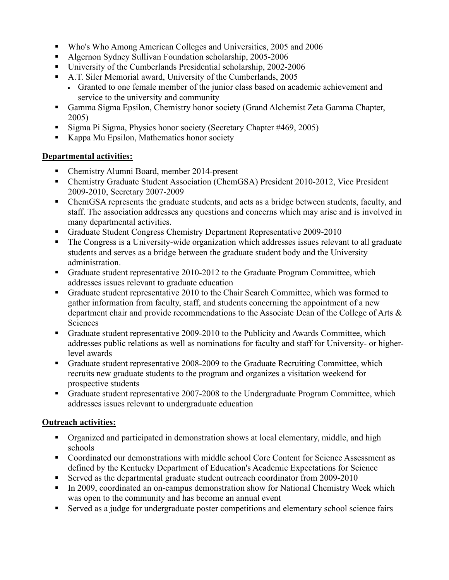- Who's Who Among American Colleges and Universities, 2005 and 2006
- Algernon Sydney Sullivan Foundation scholarship, 2005-2006
- University of the Cumberlands Presidential scholarship, 2002-2006
- A.T. Siler Memorial award, University of the Cumberlands, 2005
	- Granted to one female member of the junior class based on academic achievement and service to the university and community
- Gamma Sigma Epsilon, Chemistry honor society (Grand Alchemist Zeta Gamma Chapter, 2005)
- Sigma Pi Sigma, Physics honor society (Secretary Chapter #469, 2005)
- Kappa Mu Epsilon, Mathematics honor society

## **Departmental activities:**

- Chemistry Alumni Board, member 2014-present
- Chemistry Graduate Student Association (ChemGSA) President 2010-2012, Vice President 2009-2010, Secretary 2007-2009
- ChemGSA represents the graduate students, and acts as a bridge between students, faculty, and staff. The association addresses any questions and concerns which may arise and is involved in many departmental activities.
- Graduate Student Congress Chemistry Department Representative 2009-2010
- The Congress is a University-wide organization which addresses issues relevant to all graduate students and serves as a bridge between the graduate student body and the University administration.
- Graduate student representative 2010-2012 to the Graduate Program Committee, which addresses issues relevant to graduate education
- Graduate student representative 2010 to the Chair Search Committee, which was formed to gather information from faculty, staff, and students concerning the appointment of a new department chair and provide recommendations to the Associate Dean of the College of Arts & **Sciences**
- Graduate student representative 2009-2010 to the Publicity and Awards Committee, which addresses public relations as well as nominations for faculty and staff for University- or higherlevel awards
- Graduate student representative 2008-2009 to the Graduate Recruiting Committee, which recruits new graduate students to the program and organizes a visitation weekend for prospective students
- Graduate student representative 2007-2008 to the Undergraduate Program Committee, which addresses issues relevant to undergraduate education

## **Outreach activities:**

- Organized and participated in demonstration shows at local elementary, middle, and high schools
- Coordinated our demonstrations with middle school Core Content for Science Assessment as defined by the Kentucky Department of Education's Academic Expectations for Science
- Served as the departmental graduate student outreach coordinator from 2009-2010
- In 2009, coordinated an on-campus demonstration show for National Chemistry Week which was open to the community and has become an annual event
- Served as a judge for undergraduate poster competitions and elementary school science fairs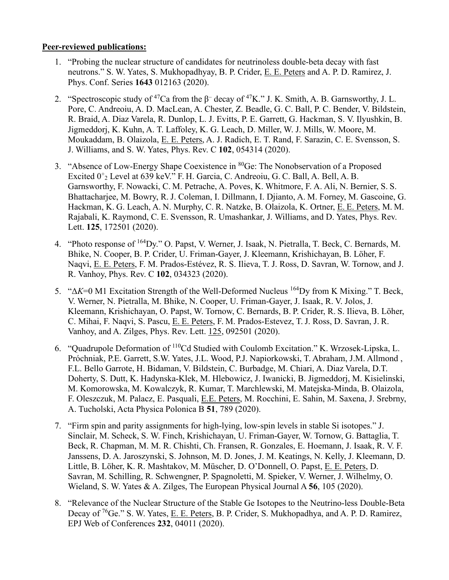#### **Peer-reviewed publications:**

- 1. "Probing the nuclear structure of candidates for neutrinoless double-beta decay with fast neutrons." S. W. Yates, S. Mukhopadhyay, B. P. Crider, E. E. Peters and A. P. D. Ramirez, J. Phys. Conf. Series **1643** 012163 (2020).
- 2. "Spectroscopic study of <sup>47</sup>Ca from the  $\beta^-$  decay of <sup>47</sup>K." J. K. Smith, A. B. Garnsworthy, J. L. Pore, C. Andreoiu, A. D. MacLean, A. Chester, Z. Beadle, G. C. Ball, P. C. Bender, V. Bildstein, R. Braid, A. Diaz Varela, R. Dunlop, L. J. Evitts, P. E. Garrett, G. Hackman, S. V. Ilyushkin, B. Jigmeddorj, K. Kuhn, A. T. Laffoley, K. G. Leach, D. Miller, W. J. Mills, W. Moore, M. Moukaddam, B. Olaizola, E. E. Peters, A. J. Radich, E. T. Rand, F. Sarazin, C. E. Svensson, S. J. Williams, and S. W. Yates, Phys. Rev. C **102**, 054314 (2020).
- 3. "Absence of Low-Energy Shape Coexistence in 80Ge: The Nonobservation of a Proposed Excited  $0^+$ <sub>2</sub> Level at 639 keV." F. H. Garcia, C. Andreoiu, G. C. Ball, A. Bell, A. B. Garnsworthy, F. Nowacki, C. M. Petrache, A. Poves, K. Whitmore, F. A. Ali, N. Bernier, S. S. Bhattacharjee, M. Bowry, R. J. Coleman, I. Dillmann, I. Djianto, A. M. Forney, M. Gascoine, G. Hackman, K. G. Leach, A. N. Murphy, C. R. Natzke, B. Olaizola, K. Ortner, E. E. Peters, M. M. Rajabali, K. Raymond, C. E. Svensson, R. Umashankar, J. Williams, and D. Yates, Phys. Rev. Lett. **125**, 172501 (2020).
- 4. "Photo response of 164Dy." O. Papst, V. Werner, J. Isaak, N. Pietralla, T. Beck, C. Bernards, M. Bhike, N. Cooper, B. P. Crider, U. Friman-Gayer, J. Kleemann, Krishichayan, B. Löher, F. Naqvi, E. E. Peters, F. M. Prados-Estévez, R. S. Ilieva, T. J. Ross, D. Savran, W. Tornow, and J. R. Vanhoy, Phys. Rev. C **102**, 034323 (2020).
- 5. "Δ*K*=0 M1 Excitation Strength of the Well-Deformed Nucleus 164Dy from K Mixing." T. Beck, V. Werner, N. Pietralla, M. Bhike, N. Cooper, U. Friman-Gayer, J. Isaak, R. V. Jolos, J. Kleemann, Krishichayan, O. Papst, W. Tornow, C. Bernards, B. P. Crider, R. S. Ilieva, B. Löher, C. Mihai, F. Naqvi, S. Pascu, E. E. Peters, F. M. Prados-Estevez, T. J. Ross, D. Savran, J. R. Vanhoy, and A. Zilges, Phys. Rev. Lett. 125, 092501 (2020).
- 6. "Quadrupole Deformation of 110Cd Studied with Coulomb Excitation." K. Wrzosek-Lipska, L. Próchniak, P.E. Garrett, S.W. Yates, J.L. Wood, P.J. Napiorkowski, T. Abraham, J.M. Allmond , F.L. Bello Garrote, H. Bidaman, V. Bildstein, C. Burbadge, M. Chiari, A. Diaz Varela, D.T. Doherty, S. Dutt, K. Hadynska-Klek, M. Hlebowicz, J. Iwanicki, B. Jigmeddorj, M. Kisielinski, M. Komorowska, M. Kowalczyk, R. Kumar, T. Marchlewski, M. Matejska-Minda, B. Olaizola, F. Oleszczuk, M. Palacz, E. Pasquali, E.E. Peters, M. Rocchini, E. Sahin, M. Saxena, J. Srebrny, A. Tucholski, Acta Physica Polonica B **51**, 789 (2020).
- 7. "Firm spin and parity assignments for high-lying, low-spin levels in stable Si isotopes." J. Sinclair, M. Scheck, S. W. Finch, Krishichayan, U. Friman-Gayer, W. Tornow, G. Battaglia, T. Beck, R. Chapman, M. M. R. Chishti, Ch. Fransen, R. Gonzales, E. Hoemann, J. Isaak, R. V. F. Janssens, D. A. Jaroszynski, S. Johnson, M. D. Jones, J. M. Keatings, N. Kelly, J. Kleemann, D. Little, B. Löher, K. R. Mashtakov, M. Müscher, D. O'Donnell, O. Papst, E. E. Peters, D. Savran, M. Schilling, R. Schwengner, P. Spagnoletti, M. Spieker, V. Werner, J. Wilhelmy, O. Wieland, S. W. Yates & A. Zilges, The European Physical Journal A **56**, 105 (2020).
- 8. "Relevance of the Nuclear Structure of the Stable Ge Isotopes to the Neutrino-less Double-Beta Decay of <sup>76</sup>Ge." S. W. Yates, E. E. Peters, B. P. Crider, S. Mukhopadhya, and A. P. D. Ramirez, EPJ Web of Conferences **232**, 04011 (2020).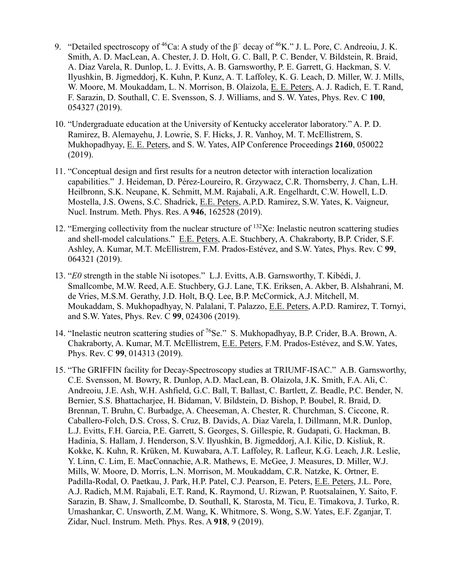- 9. "Detailed spectroscopy of <sup>46</sup>Ca: A study of the β<sup>-</sup> decay of <sup>46</sup>K." J. L. Pore, C. Andreoiu, J. K. Smith, A. D. MacLean, A. Chester, J. D. Holt, G. C. Ball, P. C. Bender, V. Bildstein, R. Braid, A. Diaz Varela, R. Dunlop, L. J. Evitts, A. B. Garnsworthy, P. E. Garrett, G. Hackman, S. V. Ilyushkin, B. Jigmeddorj, K. Kuhn, P. Kunz, A. T. Laffoley, K. G. Leach, D. Miller, W. J. Mills, W. Moore, M. Moukaddam, L. N. Morrison, B. Olaizola, E. E. Peters, A. J. Radich, E. T. Rand, F. Sarazin, D. Southall, C. E. Svensson, S. J. Williams, and S. W. Yates, Phys. Rev. C **100**, 054327 (2019).
- 10. "Undergraduate education at the University of Kentucky accelerator laboratory." A. P. D. Ramirez, B. Alemayehu, J. Lowrie, S. F. Hicks, J. R. Vanhoy, M. T. McEllistrem, S. Mukhopadhyay, E. E. Peters, and S. W. Yates, AIP Conference Proceedings **2160**, 050022 (2019).
- 11. "Conceptual design and first results for a neutron detector with interaction localization capabilities." J. Heideman, D. Pérez-Loureiro, R. Grzywacz, C.R. Thornsberry, J. Chan, L.H. Heilbronn, S.K. Neupane, K. Schmitt, M.M. Rajabali, A.R. Engelhardt, C.W. Howell, L.D. Mostella, J.S. Owens, S.C. Shadrick, E.E. Peters, A.P.D. Ramirez, S.W. Yates, K. Vaigneur, Nucl. Instrum. Meth. Phys. Res. A **946**, 162528 (2019).
- 12. "Emerging collectivity from the nuclear structure of  $^{132}$ Xe: Inelastic neutron scattering studies and shell-model calculations." E.E. Peters, A.E. Stuchbery, A. Chakraborty, B.P. Crider, S.F. Ashley, A. Kumar, M.T. McEllistrem, F.M. Prados-Estévez, and S.W. Yates, Phys. Rev. C **99**, 064321 (2019).
- 13. "*E0* strength in the stable Ni isotopes." L.J. Evitts, A.B. Garnsworthy, T. Kibédi, J. Smallcombe, M.W. Reed, A.E. Stuchbery, G.J. Lane, T.K. Eriksen, A. Akber, B. Alshahrani, M. de Vries, M.S.M. Gerathy, J.D. Holt, B.Q. Lee, B.P. McCormick, A.J. Mitchell, M. Moukaddam, S. Mukhopadhyay, N. Palalani, T. Palazzo, E.E. Peters, A.P.D. Ramirez, T. Tornyi, and S.W. Yates, Phys. Rev. C **99**, 024306 (2019).
- 14. "Inelastic neutron scattering studies of <sup>76</sup>Se." S. Mukhopadhyay, B.P. Crider, B.A. Brown, A. Chakraborty, A. Kumar, M.T. McEllistrem, E.E. Peters, F.M. Prados-Estévez, and S.W. Yates, Phys. Rev. C **99**, 014313 (2019).
- 15. "The GRIFFIN facility for Decay-Spectroscopy studies at TRIUMF-ISAC." A.B. Garnsworthy, C.E. Svensson, M. Bowry, R. Dunlop, A.D. MacLean, B. Olaizola, J.K. Smith, F.A. Ali, C. Andreoiu, J.E. Ash, W.H. Ashfield, G.C. Ball, T. Ballast, C. Bartlett, Z. Beadle, P.C. Bender, N. Bernier, S.S. Bhattacharjee, H. Bidaman, V. Bildstein, D. Bishop, P. Boubel, R. Braid, D. Brennan, T. Bruhn, C. Burbadge, A. Cheeseman, A. Chester, R. Churchman, S. Ciccone, R. Caballero-Folch, D.S. Cross, S. Cruz, B. Davids, A. Diaz Varela, I. Dillmann, M.R. Dunlop, L.J. Evitts, F.H. Garcia, P.E. Garrett, S. Georges, S. Gillespie, R. Gudapati, G. Hackman, B. Hadinia, S. Hallam, J. Henderson, S.V. Ilyushkin, B. Jigmeddorj, A.I. Kilic, D. Kisliuk, R. Kokke, K. Kuhn, R. Krüken, M. Kuwabara, A.T. Laffoley, R. Lafleur, K.G. Leach, J.R. Leslie, Y. Linn, C. Lim, E. MacConnachie, A.R. Mathews, E. McGee, J. Measures, D. Miller, W.J. Mills, W. Moore, D. Morris, L.N. Morrison, M. Moukaddam, C.R. Natzke, K. Ortner, E. Padilla-Rodal, O. Paetkau, J. Park, H.P. Patel, C.J. Pearson, E. Peters, E.E. Peters, J.L. Pore, A.J. Radich, M.M. Rajabali, E.T. Rand, K. Raymond, U. Rizwan, P. Ruotsalainen, Y. Saito, F. Sarazin, B. Shaw, J. Smallcombe, D. Southall, K. Starosta, M. Ticu, E. Timakova, J. Turko, R. Umashankar, C. Unsworth, Z.M. Wang, K. Whitmore, S. Wong, S.W. Yates, E.F. Zganjar, T. Zidar, Nucl. Instrum. Meth. Phys. Res. A **918**, 9 (2019).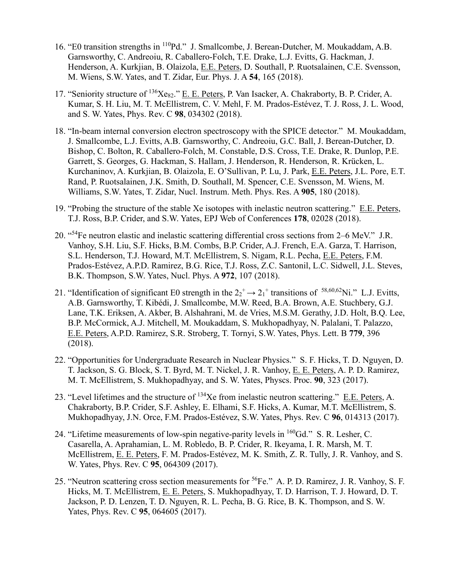- 16. "E0 transition strengths in 110Pd." J. Smallcombe, J. Berean-Dutcher, M. Moukaddam, A.B. Garnsworthy, C. Andreoiu, R. Caballero-Folch, T.E. Drake, L.J. Evitts, G. Hackman, J. Henderson, A. Kurkjian, B. Olaizola, E.E. Peters, D. Southall, P. Ruotsalainen, C.E. Svensson, M. Wiens, S.W. Yates, and T. Zidar, Eur. Phys. J. A **54**, 165 (2018).
- 17. "Seniority structure of <sup>136</sup>Xe<sub>82</sub>." E. E. Peters, P. Van Isacker, A. Chakraborty, B. P. Crider, A. Kumar, S. H. Liu, M. T. McEllistrem, C. V. Mehl, F. M. Prados-Estévez, T. J. Ross, J. L. Wood, and S. W. Yates, Phys. Rev. C **98**, 034302 (2018).
- 18. "In-beam internal conversion electron spectroscopy with the SPICE detector." M. Moukaddam, J. Smallcombe, L.J. Evitts, A.B. Garnsworthy, C. Andreoiu, G.C. Ball, J. Berean-Dutcher, D. Bishop, C. Bolton, R. Caballero-Folch, M. Constable, D.S. Cross, T.E. Drake, R. Dunlop, P.E. Garrett, S. Georges, G. Hackman, S. Hallam, J. Henderson, R. Henderson, R. Krücken, L. Kurchaninov, A. Kurkjian, B. Olaizola, E. O'Sullivan, P. Lu, J. Park, E.E. Peters, J.L. Pore, E.T. Rand, P. Ruotsalainen, J.K. Smith, D. Southall, M. Spencer, C.E. Svensson, M. Wiens, M. Williams, S.W. Yates, T. Zidar, Nucl. Instrum. Meth. Phys. Res. A **905**, 180 (2018).
- 19. "Probing the structure of the stable Xe isotopes with inelastic neutron scattering." E.E. Peters, T.J. Ross, B.P. Crider, and S.W. Yates, EPJ Web of Conferences **178**, 02028 (2018).
- 20. "54Fe neutron elastic and inelastic scattering differential cross sections from 2–6 MeV." J.R. Vanhoy, S.H. Liu, S.F. Hicks, B.M. Combs, B.P. Crider, A.J. French, E.A. Garza, T. Harrison, S.L. Henderson, T.J. Howard, M.T. McEllistrem, S. Nigam, R.L. Pecha, E.E. Peters, F.M. Prados-Estévez, A.P.D. Ramirez, B.G. Rice, T.J. Ross, Z.C. Santonil, L.C. Sidwell, J.L. Steves, B.K. Thompson, S.W. Yates, Nucl. Phys. A **972**, 107 (2018).
- 21. "Identification of significant E0 strength in the  $2^2 \rightarrow 2^1$  transitions of <sup>58,60,62</sup>Ni." L.J. Evitts, A.B. Garnsworthy, T. Kibédi, J. Smallcombe, M.W. Reed, B.A. Brown, A.E. Stuchbery, G.J. Lane, T.K. Eriksen, A. Akber, B. Alshahrani, M. de Vries, M.S.M. Gerathy, J.D. Holt, B.Q. Lee, B.P. McCormick, A.J. Mitchell, M. Moukaddam, S. Mukhopadhyay, N. Palalani, T. Palazzo, E.E. Peters, A.P.D. Ramirez, S.R. Stroberg, T. Tornyi, S.W. Yates, Phys. Lett. B **779**, 396 (2018).
- 22. "Opportunities for Undergraduate Research in Nuclear Physics." S. F. Hicks, T. D. Nguyen, D. T. Jackson, S. G. Block, S. T. Byrd, M. T. Nickel, J. R. Vanhoy, E. E. Peters, A. P. D. Ramirez, M. T. McEllistrem, S. Mukhopadhyay, and S. W. Yates, Physcs. Proc. **90**, 323 (2017).
- 23. "Level lifetimes and the structure of 134Xe from inelastic neutron scattering." E.E. Peters, A. Chakraborty, B.P. Crider, S.F. Ashley, E. Elhami, S.F. Hicks, A. Kumar, M.T. McEllistrem, S. Mukhopadhyay, J.N. Orce, F.M. Prados-Estévez, S.W. Yates, Phys. Rev. C **96**, 014313 (2017).
- 24. "Lifetime measurements of low-spin negative-parity levels in <sup>160</sup>Gd." S. R. Lesher, C. Casarella, A. Aprahamian, L. M. Robledo, B. P. Crider, R. Ikeyama, I. R. Marsh, M. T. McEllistrem, E. E. Peters, F. M. Prados-Estévez, M. K. Smith, Z. R. Tully, J. R. Vanhoy, and S. W. Yates, Phys. Rev. C **95**, 064309 (2017).
- 25. "Neutron scattering cross section measurements for <sup>56</sup>Fe." A. P. D. Ramirez, J. R. Vanhoy, S. F. Hicks, M. T. McEllistrem, E. E. Peters, S. Mukhopadhyay, T. D. Harrison, T. J. Howard, D. T. Jackson, P. D. Lenzen, T. D. Nguyen, R. L. Pecha, B. G. Rice, B. K. Thompson, and S. W. Yates, Phys. Rev. C **95**, 064605 (2017).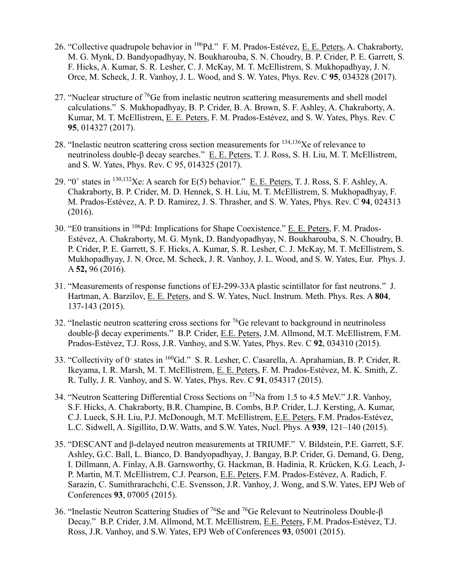- 26. "Collective quadrupole behavior in <sup>106</sup>Pd." F. M. Prados-Estévez, E. E. Peters, A. Chakraborty, M. G. Mynk, D. Bandyopadhyay, N. Boukharouba, S. N. Choudry, B. P. Crider, P. E. Garrett, S. F. Hicks, A. Kumar, S. R. Lesher, C. J. McKay, M. T. McEllistrem, S. Mukhopadhyay, J. N. Orce, M. Scheck, J. R. Vanhoy, J. L. Wood, and S. W. Yates, Phys. Rev. C **95**, 034328 (2017).
- 27. "Nuclear structure of  $76$ Ge from inelastic neutron scattering measurements and shell model calculations." S. Mukhopadhyay, B. P. Crider, B. A. Brown, S. F. Ashley, A. Chakraborty, A. Kumar, M. T. McEllistrem, E. E. Peters, F. M. Prados-Estévez, and S. W. Yates, Phys. Rev. C **95**, 014327 (2017).
- 28. "Inelastic neutron scattering cross section measurements for  $^{134,136}$ Xe of relevance to neutrinoless double-β decay searches." E. E. Peters, T. J. Ross, S. H. Liu, M. T. McEllistrem, and S. W. Yates, Phys. Rev. C 95, 014325 (2017).
- 29. " $0^+$  states in <sup>130,132</sup>Xe: A search for E(5) behavior." E. E. Peters, T. J. Ross, S. F. Ashley, A. Chakraborty, B. P. Crider, M. D. Hennek, S. H. Liu, M. T. McEllistrem, S. Mukhopadhyay, F. M. Prados-Estévez, A. P. D. Ramirez, J. S. Thrasher, and S. W. Yates, Phys. Rev. C **94**, 024313 (2016).
- 30. "E0 transitions in 106Pd: Implications for Shape Coexistence." E. E. Peters, F. M. Prados-Estévez, A. Chakraborty, M. G. Mynk, D. Bandyopadhyay, N. Boukharouba, S. N. Choudry, B. P. Crider, P. E. Garrett, S. F. Hicks, A. Kumar, S. R. Lesher, C. J. McKay, M. T. McEllistrem, S. Mukhopadhyay, J. N. Orce, M. Scheck, J. R. Vanhoy, J. L. Wood, and S. W. Yates, Eur. Phys. J. A **52,** 96 (2016).
- 31. "Measurements of response functions of EJ-299-33A plastic scintillator for fast neutrons." J. Hartman, A. Barzilov, E. E. Peters, and S. W. Yates, Nucl. Instrum. Meth. Phys. Res. A **804**, 137-143 (2015).
- 32. "Inelastic neutron scattering cross sections for  ${}^{76}$ Ge relevant to background in neutrinoless double-β decay experiments." B.P. Crider, E.E. Peters, J.M. Allmond, M.T. McEllistrem, F.M. Prados-Estévez, T.J. Ross, J.R. Vanhoy, and S.W. Yates, Phys. Rev. C **92**, 034310 (2015).
- 33. "Collectivity of 0+ states in 160Gd." S. R. Lesher, C. Casarella, A. Aprahamian, B. P. Crider, R. Ikeyama, I. R. Marsh, M. T. McEllistrem, E. E. Peters, F. M. Prados-Estévez, M. K. Smith, Z. R. Tully, J. R. Vanhoy, and S. W. Yates, Phys. Rev. C **91**, 054317 (2015).
- 34. "Neutron Scattering Differential Cross Sections on <sup>23</sup>Na from 1.5 to 4.5 MeV." J.R. Vanhoy, S.F. Hicks, A. Chakraborty, B.R. Champine, B. Combs, B.P. Crider, L.J. Kersting, A. Kumar, C.J. Lueck, S.H. Liu, P.J. McDonough, M.T. McEllistrem, E.E. Peters, F.M. Prados-Estévez, L.C. Sidwell, A. Sigillito, D.W. Watts, and S.W. Yates, Nucl. Phys. A **939**, 121–140 (2015).
- 35. "DESCANT and β-delayed neutron measurements at TRIUMF." V. Bildstein, P.E. Garrett, S.F. Ashley, G.C. Ball, L. Bianco, D. Bandyopadhyay, J. Bangay, B.P. Crider, G. Demand, G. Deng, I. Dillmann, A. Finlay, A.B. Garnsworthy, G. Hackman, B. Hadinia, R. Krücken, K.G. Leach, J-P. Martin, M.T. McEllistrem, C.J. Pearson, E.E. Peters, F.M. Prados-Estévez, A. Radich, F. Sarazin, C. Sumithrarachchi, C.E. Svensson, J.R. Vanhoy, J. Wong, and S.W. Yates, EPJ Web of Conferences **93**, 07005 (2015).
- 36. "Inelastic Neutron Scattering Studies of <sup>76</sup>Se and <sup>76</sup>Ge Relevant to Neutrinoless Double-β Decay." B.P. Crider, J.M. Allmond, M.T. McEllistrem, E.E. Peters, F.M. Prados-Estévez, T.J. Ross, J.R. Vanhoy, and S.W. Yates, EPJ Web of Conferences **93**, 05001 (2015).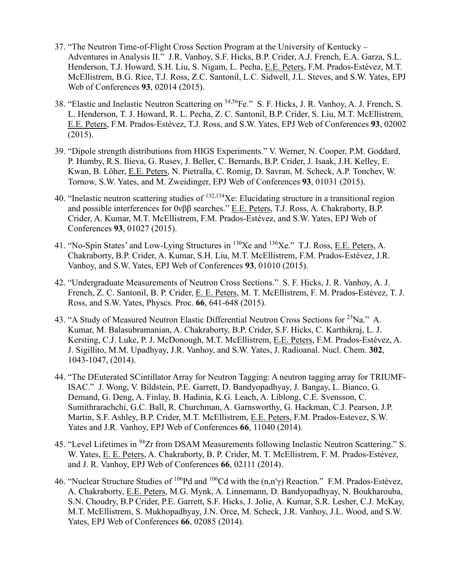- 37. "The Neutron Time-of-Flight Cross Section Program at the University of Kentucky Adventures in Analysis II." J.R. Vanhoy, S.F. Hicks, B.P. Crider, A.J. French, E.A. Garza, S.L. Henderson, T.J. Howard, S.H. Liu, S. Nigam, L. Pecha, E.E. Peters, F.M. Prados-Estévez, M.T. McEllistrem, B.G. Rice, T.J. Ross, Z.C. Santonil, L.C. Sidwell, J.L. Steves, and S.W. Yates, EPJ Web of Conferences **93**, 02014 (2015).
- 38. "Elastic and Inelastic Neutron Scattering on 54,56Fe." S. F. Hicks, J. R. Vanhoy, A. J. French, S. L. Henderson, T. J. Howard, R. L. Pecha, Z. C. Santonil, B.P. Crider, S. Liu, M.T. McEllistrem, E.E. Peters, F.M. Prados-Estévez, T.J. Ross, and S.W. Yates, EPJ Web of Conferences **93**, 02002 (2015).
- 39. "Dipole strength distributions from HIGS Experiments." V. Werner, N. Cooper, P.M. Goddard, P. Humby, R.S. Ilieva, G. Rusev, J. Beller, C. Bernards, B.P. Crider, J. Isaak, J.H. Kelley, E. Kwan, B. Löher, E.E. Peters, N. Pietralla, C. Romig, D. Savran, M. Scheck, A.P. Tonchev, W. Tornow, S.W. Yates, and M. Zweidinger, EPJ Web of Conferences **93**, 01031 (2015).
- 40. "Inelastic neutron scattering studies of  $^{132,134}$ Xe: Elucidating structure in a transitional region and possible interferences for 0νββ searches." E.E. Peters, T.J. Ross, A. Chakraborty, B.P. Crider, A. Kumar, M.T. McEllistrem, F.M. Prados-Estévez, and S.W. Yates, EPJ Web of Conferences **93**, 01027 (2015).
- 41. "No-Spin States' and Low-Lying Structures in <sup>130</sup>Xe and <sup>136</sup>Xe." T.J. Ross, E.E. Peters, A. Chakraborty, B.P. Crider, A. Kumar, S.H. Liu, M.T. McEllistrem, F.M. Prados-Estévez, J.R. Vanhoy, and S.W. Yates, EPJ Web of Conferences **93**, 01010 (2015).
- 42. "Undergraduate Measurements of Neutron Cross Sections." S. F. Hicks, J. R. Vanhoy, A. J. French, Z. C. Santonil, B. P. Crider, E. E. Peters, M. T. McEllistrem, F. M. Prados-Estévez, T. J. Ross, and S.W. Yates, Physcs. Proc. **66**, 641-648 (2015).
- 43. "A Study of Measured Neutron Elastic Differential Neutron Cross Sections for <sup>23</sup>Na." A. Kumar, M. Balasubramanian, A. Chakraborty, B.P. Crider, S.F. Hicks, C. Karthikraj, L. J. Kersting, C.J. Luke, P. J. McDonough, M.T. McEllistrem, E.E. Peters, F.M. Prados-Estévez, A. J. Sigillito, M.M. Upadhyay, J.R. Vanhoy, and S.W. Yates, J. Radioanal. Nucl. Chem. **302**, 1043-1047, (2014).
- 44. "The DEuterated SCintillator Array for Neutron Tagging: A neutron tagging array for TRIUMF-ISAC." J. Wong, V. Bildstein, P.E. Garrett, D. Bandyopadhyay, J. Bangay, L. Bianco, G. Demand, G. Deng, A. Finlay, B. Hadinia, K.G. Leach, A. Liblong, C.E. Svensson, C. Sumithrarachchi, G.C. Ball, R. Churchman, A. Garnsworthy, G. Hackman, C.J. Pearson, J.P. Martin, S.F. Ashley, B.P. Crider, M.T. McEllistrem, E.E. Peters, F.M. Prados-Estevez, S.W. Yates and J.R. Vanhoy, EPJ Web of Conferences **66**, 11040 (2014).
- 45. "Level Lifetimes in 94Zr from DSAM Measurements following Inelastic Neutron Scattering." S. W. Yates, E. E. Peters, A. Chakraborty, B. P. Crider, M. T. McEllistrem, F. M. Prados-Estévez, and J. R. Vanhoy, EPJ Web of Conferences **66**, 02111 (2014).
- 46. "Nuclear Structure Studies of 106Pd and 106Cd with the (n,n′γ) Reaction." F.M. Prados-Estévez, A. Chakraborty, E.E. Peters, M.G. Mynk, A. Linnemann, D. Bandyopadhyay, N. Boukharouba, S.N. Choudry, B.P Crider, P.E. Garrett, S.F. Hicks, J. Jolie, A. Kumar, S.R. Lesher, C.J. McKay, M.T. McEllistrem, S. Mukhopadhyay, J.N. Orce, M. Scheck, J.R. Vanhoy, J.L. Wood, and S.W. Yates, EPJ Web of Conferences **66**, 02085 (2014).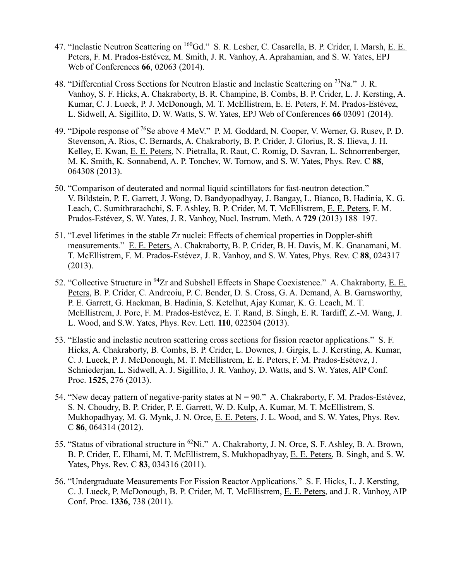- 47. "Inelastic Neutron Scattering on 160Gd." S. R. Lesher, C. Casarella, B. P. Crider, I. Marsh, E. E. Peters, F. M. Prados-Estévez, M. Smith, J. R. Vanhoy, A. Aprahamian, and S. W. Yates, EPJ Web of Conferences **66**, 02063 (2014).
- 48. "Differential Cross Sections for Neutron Elastic and Inelastic Scattering on <sup>23</sup>Na." J. R. Vanhoy, S. F. Hicks, A. Chakraborty, B. R. Champine, B. Combs, B. P. Crider, L. J. Kersting, A. Kumar, C. J. Lueck, P. J. McDonough, M. T. McEllistrem, E. E. Peters, F. M. Prados-Estévez, L. Sidwell, A. Sigillito, D. W. Watts, S. W. Yates, EPJ Web of Conferences **66** 03091 (2014).
- 49. "Dipole response of 76Se above 4 MeV." P. M. Goddard, N. Cooper, V. Werner, G. Rusev, P. D. Stevenson, A. Rios, C. Bernards, A. Chakraborty, B. P. Crider, J. Glorius, R. S. Ilieva, J. H. Kelley, E. Kwan, E. E. Peters, N. Pietralla, R. Raut, C. Romig, D. Savran, L. Schnorrenberger, M. K. Smith, K. Sonnabend, A. P. Tonchev, W. Tornow, and S. W. Yates, Phys. Rev. C **88**, 064308 (2013).
- 50. "Comparison of deuterated and normal liquid scintillators for fast-neutron detection." V. Bildstein, P. E. Garrett, J. Wong, D. Bandyopadhyay, J. Bangay, L. Bianco, B. Hadinia, K. G. Leach, C. Sumithrarachchi, S. F. Ashley, B. P. Crider, M. T. McEllistrem, E. E. Peters, F. M. Prados-Estévez, S. W. Yates, J. R. Vanhoy, Nucl. Instrum. Meth. A **729** (2013) 188–197.
- 51. "Level lifetimes in the stable Zr nuclei: Effects of chemical properties in Doppler-shift measurements." E. E. Peters, A. Chakraborty, B. P. Crider, B. H. Davis, M. K. Gnanamani, M. T. McEllistrem, F. M. Prados-Estévez, J. R. Vanhoy, and S. W. Yates, Phys. Rev. C **88**, 024317 (2013).
- 52. "Collective Structure in 94Zr and Subshell Effects in Shape Coexistence." A. Chakraborty, E. E. Peters, B. P. Crider, C. Andreoiu, P. C. Bender, D. S. Cross, G. A. Demand, A. B. Garnsworthy, P. E. Garrett, G. Hackman, B. Hadinia, S. Ketelhut, Ajay Kumar, K. G. Leach, M. T. McEllistrem, J. Pore, F. M. Prados-Estévez, E. T. Rand, B. Singh, E. R. Tardiff, Z.-M. Wang, J. L. Wood, and S.W. Yates, Phys. Rev. Lett. **110**, 022504 (2013).
- 53. "Elastic and inelastic neutron scattering cross sections for fission reactor applications." S. F. Hicks, A. Chakraborty, B. Combs, B. P. Crider, L. Downes, J. Girgis, L. J. Kersting, A. Kumar, C. J. Lueck, P. J. McDonough, M. T. McEllistrem, E. E. Peters, F. M. Prados-Esétevz, J. Schniederjan, L. Sidwell, A. J. Sigillito, J. R. Vanhoy, D. Watts, and S. W. Yates, AIP Conf. Proc. **1525**, 276 (2013).
- 54. "New decay pattern of negative-parity states at  $N = 90$ ." A. Chakraborty, F. M. Prados-Estévez, S. N. Choudry, B. P. Crider, P. E. Garrett, W. D. Kulp, A. Kumar, M. T. McEllistrem, S. Mukhopadhyay, M. G. Mynk, J. N. Orce, E. E. Peters, J. L. Wood, and S. W. Yates, Phys. Rev. C **86**, 064314 (2012).
- 55. "Status of vibrational structure in 62Ni." A. Chakraborty, J. N. Orce, S. F. Ashley, B. A. Brown, B. P. Crider, E. Elhami, M. T. McEllistrem, S. Mukhopadhyay, E. E. Peters, B. Singh, and S. W. Yates, Phys. Rev. C **83**, 034316 (2011).
- 56. "Undergraduate Measurements For Fission Reactor Applications." S. F. Hicks, L. J. Kersting, C. J. Lueck, P. McDonough, B. P. Crider, M. T. McEllistrem, E. E. Peters, and J. R. Vanhoy, AIP Conf. Proc. **1336**, 738 (2011).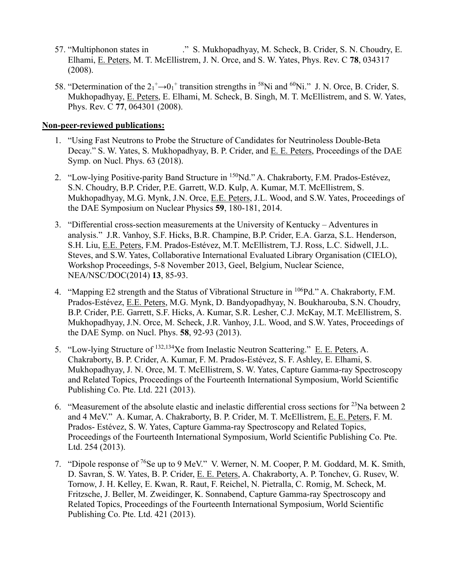- 57. "Multiphonon states in ." S. Mukhopadhyay, M. Scheck, B. Crider, S. N. Choudry, E. Elhami, E. Peters, M. T. McEllistrem, J. N. Orce, and S. W. Yates, Phys. Rev. C **78**, 034317 (2008).
- 58. "Determination of the  $2_1^+ \rightarrow 0_1^+$  transition strengths in <sup>58</sup>Ni and <sup>60</sup>Ni." J. N. Orce, B. Crider, S. Mukhopadhyay, E. Peters, E. Elhami, M. Scheck, B. Singh, M. T. McEllistrem, and S. W. Yates, Phys. Rev. C **77**, 064301 (2008).

#### **Non-peer-reviewed publications:**

- 1. "Using Fast Neutrons to Probe the Structure of Candidates for Neutrinoless Double-Beta Decay." S. W. Yates, S. Mukhopadhyay, B. P. Crider, and E. E. Peters, Proceedings of the DAE Symp. on Nucl. Phys. 63 (2018).
- 2. "Low-lying Positive-parity Band Structure in <sup>150</sup>Nd." A. Chakraborty, F.M. Prados-Estévez, S.N. Choudry, B.P. Crider, P.E. Garrett, W.D. Kulp, A. Kumar, M.T. McEllistrem, S. Mukhopadhyay, M.G. Mynk, J.N. Orce, E.E. Peters, J.L. Wood, and S.W. Yates, Proceedings of the DAE Symposium on Nuclear Physics **59**, 180-181, 2014.
- 3. "Differential cross-section measurements at the University of Kentucky Adventures in analysis." J.R. Vanhoy, S.F. Hicks, B.R. Champine, B.P. Crider, E.A. Garza, S.L. Henderson, S.H. Liu, E.E. Peters, F.M. Prados-Estévez, M.T. McEllistrem, T.J. Ross, L.C. Sidwell, J.L. Steves, and S.W. Yates, Collaborative International Evaluated Library Organisation (CIELO), Workshop Proceedings, 5-8 November 2013, Geel, Belgium, Nuclear Science, NEA/NSC/DOC(2014) **13**, 85-93.
- 4. "Mapping E2 strength and the Status of Vibrational Structure in <sup>106</sup>Pd." A. Chakraborty, F.M. Prados-Estévez, E.E. Peters, M.G. Mynk, D. Bandyopadhyay, N. Boukharouba, S.N. Choudry, B.P. Crider, P.E. Garrett, S.F. Hicks, A. Kumar, S.R. Lesher, C.J. McKay, M.T. McEllistrem, S. Mukhopadhyay, J.N. Orce, M. Scheck, J.R. Vanhoy, J.L. Wood, and S.W. Yates, Proceedings of the DAE Symp. on Nucl. Phys. **58**, 92-93 (2013).
- 5. "Low-lying Structure of 132,134Xe from Inelastic Neutron Scattering." E. E. Peters, A. Chakraborty, B. P. Crider, A. Kumar, F. M. Prados-Estévez, S. F. Ashley, E. Elhami, S. Mukhopadhyay, J. N. Orce, M. T. McEllistrem, S. W. Yates, Capture Gamma-ray Spectroscopy and Related Topics, Proceedings of the Fourteenth International Symposium, World Scientific Publishing Co. Pte. Ltd. 221 (2013).
- 6. "Measurement of the absolute elastic and inelastic differential cross sections for  $^{23}$ Na between 2 and 4 MeV." A. Kumar, A. Chakraborty, B. P. Crider, M. T. McEllistrem, E. E. Peters, F. M. Prados- Estévez, S. W. Yates, Capture Gamma-ray Spectroscopy and Related Topics, Proceedings of the Fourteenth International Symposium, World Scientific Publishing Co. Pte. Ltd. 254 (2013).
- 7. "Dipole response of 76Se up to 9 MeV." V. Werner, N. M. Cooper, P. M. Goddard, M. K. Smith, D. Savran, S. W. Yates, B. P. Crider, E. E. Peters, A. Chakraborty, A. P. Tonchev, G. Rusev, W. Tornow, J. H. Kelley, E. Kwan, R. Raut, F. Reichel, N. Pietralla, C. Romig, M. Scheck, M. Fritzsche, J. Beller, M. Zweidinger, K. Sonnabend, Capture Gamma-ray Spectroscopy and Related Topics, Proceedings of the Fourteenth International Symposium, World Scientific Publishing Co. Pte. Ltd. 421 (2013).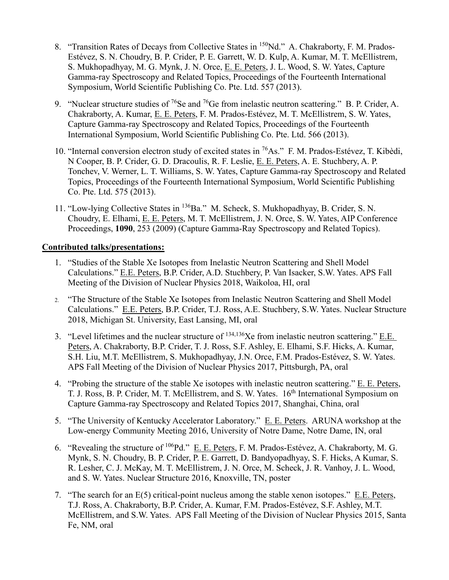- 8. "Transition Rates of Decays from Collective States in <sup>150</sup>Nd." A. Chakraborty, F. M. Prados-Estévez, S. N. Choudry, B. P. Crider, P. E. Garrett, W. D. Kulp, A. Kumar, M. T. McEllistrem, S. Mukhopadhyay, M. G. Mynk, J. N. Orce, E. E. Peters, J. L. Wood, S. W. Yates, Capture Gamma-ray Spectroscopy and Related Topics, Proceedings of the Fourteenth International Symposium, World Scientific Publishing Co. Pte. Ltd. 557 (2013).
- 9. "Nuclear structure studies of <sup>76</sup>Se and <sup>76</sup>Ge from inelastic neutron scattering." B. P. Crider, A. Chakraborty, A. Kumar, E. E. Peters, F. M. Prados-Estévez, M. T. McEllistrem, S. W. Yates, Capture Gamma-ray Spectroscopy and Related Topics, Proceedings of the Fourteenth International Symposium, World Scientific Publishing Co. Pte. Ltd. 566 (2013).
- 10. "Internal conversion electron study of excited states in <sup>76</sup>As." F. M. Prados-Estévez, T. Kibèdi, N Cooper, B. P. Crider, G. D. Dracoulis, R. F. Leslie, E. E. Peters, A. E. Stuchbery, A. P. Tonchev, V. Werner, L. T. Williams, S. W. Yates, Capture Gamma-ray Spectroscopy and Related Topics, Proceedings of the Fourteenth International Symposium, World Scientific Publishing Co. Pte. Ltd. 575 (2013).
- 11. "Low-lying Collective States in <sup>136</sup>Ba." M. Scheck, S. Mukhopadhyay, B. Crider, S. N. Choudry, E. Elhami, E. E. Peters, M. T. McEllistrem, J. N. Orce, S. W. Yates, AIP Conference Proceedings, **1090**, 253 (2009) (Capture Gamma-Ray Spectroscopy and Related Topics).

## **Contributed talks/presentations:**

- 1. "Studies of the Stable Xe Isotopes from Inelastic Neutron Scattering and Shell Model Calculations." E.E. Peters, B.P. Crider, A.D. Stuchbery, P. Van Isacker, S.W. Yates. APS Fall Meeting of the Division of Nuclear Physics 2018, Waikoloa, HI, oral
- 2. "The Structure of the Stable Xe Isotopes from Inelastic Neutron Scattering and Shell Model Calculations." E.E. Peters, B.P. Crider, T.J. Ross, A.E. Stuchbery, S.W. Yates. Nuclear Structure 2018, Michigan St. University, East Lansing, MI, oral
- 3. "Level lifetimes and the nuclear structure of 134,136Xe from inelastic neutron scattering." E.E. Peters, A. Chakraborty, B.P. Crider, T. J. Ross, S.F. Ashley, E. Elhami, S.F. Hicks, A. Kumar, S.H. Liu, M.T. McEllistrem, S. Mukhopadhyay, J.N. Orce, F.M. Prados-Estévez, S. W. Yates. APS Fall Meeting of the Division of Nuclear Physics 2017, Pittsburgh, PA, oral
- 4. "Probing the structure of the stable Xe isotopes with inelastic neutron scattering." E. E. Peters, T. J. Ross, B. P. Crider, M. T. McEllistrem, and S. W. Yates. 16<sup>th</sup> International Symposium on Capture Gamma-ray Spectroscopy and Related Topics 2017, Shanghai, China, oral
- 5. "The University of Kentucky Accelerator Laboratory." E. E. Peters. ARUNA workshop at the Low-energy Community Meeting 2016, University of Notre Dame, Notre Dame, IN, oral
- 6. "Revealing the structure of 106Pd." E. E. Peters, F. M. Prados-Estévez, A. Chakraborty, M. G. Mynk, S. N. Choudry, B. P. Crider, P. E. Garrett, D. Bandyopadhyay, S. F. Hicks, A Kumar, S. R. Lesher, C. J. McKay, M. T. McEllistrem, J. N. Orce, M. Scheck, J. R. Vanhoy, J. L. Wood, and S. W. Yates. Nuclear Structure 2016, Knoxville, TN, poster
- 7. "The search for an E(5) critical-point nucleus among the stable xenon isotopes." E.E. Peters, T.J. Ross, A. Chakraborty, B.P. Crider, A. Kumar, F.M. Prados-Estévez, S.F. Ashley, M.T. McEllistrem, and S.W. Yates. APS Fall Meeting of the Division of Nuclear Physics 2015, Santa Fe, NM, oral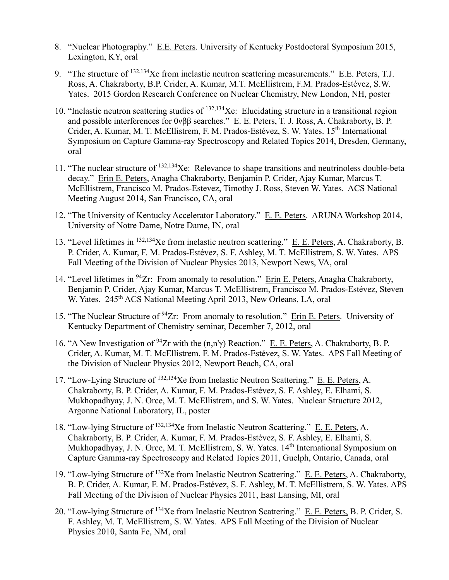- 8. "Nuclear Photography." E.E. Peters. University of Kentucky Postdoctoral Symposium 2015, Lexington, KY, oral
- 9. "The structure of <sup>132,134</sup>Xe from inelastic neutron scattering measurements." E.E. Peters, T.J. Ross, A. Chakraborty, B.P. Crider, A. Kumar, M.T. McEllistrem, F.M. Prados-Estévez, S.W. Yates. 2015 Gordon Research Conference on Nuclear Chemistry, New London, NH, poster
- 10. "Inelastic neutron scattering studies of 132,134Xe: Elucidating structure in a transitional region and possible interferences for 0νββ searches." E. E. Peters, T. J. Ross, A. Chakraborty, B. P. Crider, A. Kumar, M. T. McEllistrem, F. M. Prados-Estévez, S. W. Yates. 15<sup>th</sup> International Symposium on Capture Gamma-ray Spectroscopy and Related Topics 2014, Dresden, Germany, oral
- 11. "The nuclear structure of 132,134Xe: Relevance to shape transitions and neutrinoless double-beta decay." Erin E. Peters, Anagha Chakraborty, Benjamin P. Crider, Ajay Kumar, Marcus T. McEllistrem, Francisco M. Prados-Estevez, Timothy J. Ross, Steven W. Yates. ACS National Meeting August 2014, San Francisco, CA, oral
- 12. "The University of Kentucky Accelerator Laboratory." E. E. Peters. ARUNA Workshop 2014, University of Notre Dame, Notre Dame, IN, oral
- 13. "Level lifetimes in 132,134Xe from inelastic neutron scattering." E. E. Peters, A. Chakraborty, B. P. Crider, A. Kumar, F. M. Prados-Estévez, S. F. Ashley, M. T. McEllistrem, S. W. Yates. APS Fall Meeting of the Division of Nuclear Physics 2013, Newport News, VA, oral
- 14. "Level lifetimes in <sup>94</sup>Zr: From anomaly to resolution." Erin E. Peters, Anagha Chakraborty, Benjamin P. Crider, Ajay Kumar, Marcus T. McEllistrem, Francisco M. Prados-Estévez, Steven W. Yates. 245<sup>th</sup> ACS National Meeting April 2013, New Orleans, LA, oral
- 15. "The Nuclear Structure of 94Zr: From anomaly to resolution." Erin E. Peters. University of Kentucky Department of Chemistry seminar, December 7, 2012, oral
- 16. "A New Investigation of 94Zr with the (n,n'γ) Reaction." E. E. Peters, A. Chakraborty, B. P. Crider, A. Kumar, M. T. McEllistrem, F. M. Prados-Estévez, S. W. Yates. APS Fall Meeting of the Division of Nuclear Physics 2012, Newport Beach, CA, oral
- 17. "Low-Lying Structure of 132,134Xe from Inelastic Neutron Scattering." E. E. Peters, A. Chakraborty, B. P. Crider, A. Kumar, F. M. Prados-Estévez, S. F. Ashley, E. Elhami, S. Mukhopadhyay, J. N. Orce, M. T. McEllistrem, and S. W. Yates. Nuclear Structure 2012, Argonne National Laboratory, IL, poster
- 18. "Low-lying Structure of 132,134Xe from Inelastic Neutron Scattering." E. E. Peters, A. Chakraborty, B. P. Crider, A. Kumar, F. M. Prados-Estévez, S. F. Ashley, E. Elhami, S. Mukhopadhyay, J. N. Orce, M. T. McEllistrem, S. W. Yates. 14<sup>th</sup> International Symposium on Capture Gamma-ray Spectroscopy and Related Topics 2011, Guelph, Ontario, Canada, oral
- 19. "Low-lying Structure of 132Xe from Inelastic Neutron Scattering." E. E. Peters, A. Chakraborty, B. P. Crider, A. Kumar, F. M. Prados-Estévez, S. F. Ashley, M. T. McEllistrem, S. W. Yates. APS Fall Meeting of the Division of Nuclear Physics 2011, East Lansing, MI, oral
- 20. "Low-lying Structure of 134Xe from Inelastic Neutron Scattering." E. E. Peters, B. P. Crider, S. F. Ashley, M. T. McEllistrem, S. W. Yates. APS Fall Meeting of the Division of Nuclear Physics 2010, Santa Fe, NM, oral